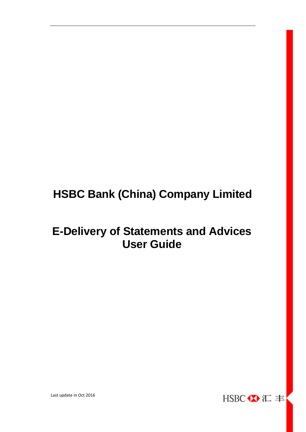# **HSBC Bank (China) Company Limited**

# **E-Delivery of Statements and Advices User Guide**



Last update in Oct 2016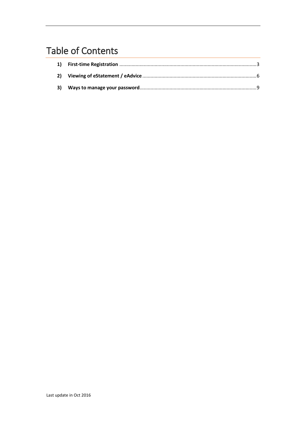# **Table of Contents**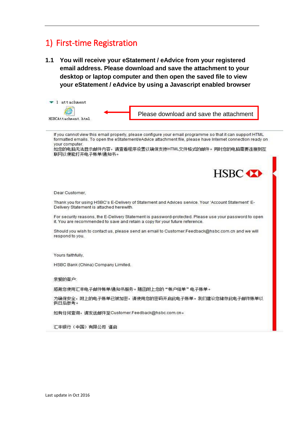# <span id="page-2-0"></span>1) First-time Registration

**1.1 You will receive your eStatement / eAdvice from your registered email address. Please download and save the attachment to your desktop or laptop computer and then open the saved file to view your eStatement / eAdvice by using a Javascript enabled browser**

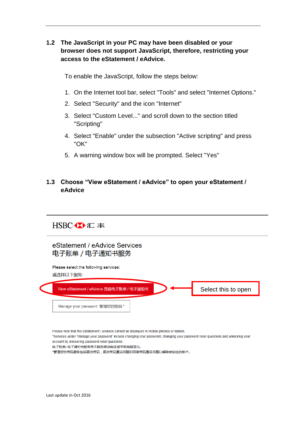## **1.2 The JavaScript in your PC may have been disabled or your browser does not support JavaScript, therefore, restricting your access to the eStatement / eAdvice.**

To enable the JavaScript, follow the steps below:

- 1. On the Internet tool bar, select "Tools" and select "Internet Options."
- 2. Select "Security" and the icon "Internet"
- 3. Select "Custom Level..." and scroll down to the section titled "Scripting"
- 4. Select "Enable" under the subsection "Active scripting" and press "OK"
- 5. A warning window box will be prompted. Select "Yes"

## **1.3 Choose "View eStatement / eAdvice" to open your eStatement / eAdvice**

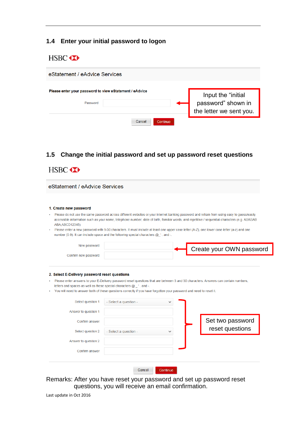### **1.4 Enter your initial password to logon**

## HSBC **XX**

| eStatement / eAdvice Services                                       |                    |                                                                     |
|---------------------------------------------------------------------|--------------------|---------------------------------------------------------------------|
| Please enter your password to view eStatement / eAdvice<br>Password |                    | Input the "initial<br>password" shown in<br>the letter we sent you. |
|                                                                     | Cancel<br>Continue |                                                                     |

### **1.5 Change the initial password and set up password reset questions**

| eStatement / eAdvice Services                                                                                                            |                                                                                                                                              |              |                                                                                                                                                                                                                                                                                               |
|------------------------------------------------------------------------------------------------------------------------------------------|----------------------------------------------------------------------------------------------------------------------------------------------|--------------|-----------------------------------------------------------------------------------------------------------------------------------------------------------------------------------------------------------------------------------------------------------------------------------------------|
| 1. Create new password                                                                                                                   |                                                                                                                                              |              |                                                                                                                                                                                                                                                                                               |
| ABA, ABCD12345).                                                                                                                         |                                                                                                                                              |              | Please do not use the same password across different websites or your internet banking password and refrain from using easy to quess/easily<br>accessible information such as your name, telephone number, date of birth, familiar words, and repetitive / sequential characters (e.g. ABABAB |
|                                                                                                                                          | number (0-9). It can include space and the following special characters $@$ '. and -.                                                        |              | Please enter a new password with 9-30 characters. It must include at least one upper case letter (A-Z), one lower case letter (a-z) and one                                                                                                                                                   |
| New password                                                                                                                             |                                                                                                                                              |              | Create your OWN password                                                                                                                                                                                                                                                                      |
| Confirm new password                                                                                                                     |                                                                                                                                              |              |                                                                                                                                                                                                                                                                                               |
|                                                                                                                                          |                                                                                                                                              |              | Please enter answers to your E-Delivery password reset questions that are between 3 and 30 characters. Answers can contain numbers,                                                                                                                                                           |
| 2. Select E-Delivery password reset questions<br>letters and spaces as well as these special characters @_'. and -.<br>Select question 1 | You will need to answer both of these questions correctly if you have forgotten your password and need to reset it.<br>- Select a question - |              |                                                                                                                                                                                                                                                                                               |
| Answer to question 1                                                                                                                     |                                                                                                                                              |              |                                                                                                                                                                                                                                                                                               |
| Confirm answer                                                                                                                           |                                                                                                                                              |              | Set two password                                                                                                                                                                                                                                                                              |
| Select question 2                                                                                                                        | - Select a question -                                                                                                                        | $\checkmark$ | reset questions                                                                                                                                                                                                                                                                               |
| Answer to question 2                                                                                                                     |                                                                                                                                              |              |                                                                                                                                                                                                                                                                                               |

Remarks: After you have reset your password and set up password reset questions, you will receive an email confirmation.

Last update in Oct 2016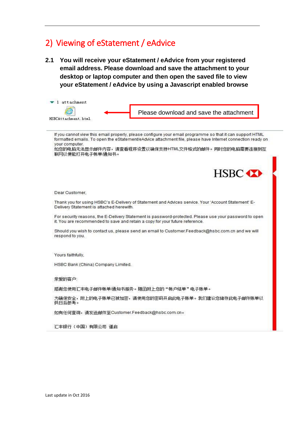# <span id="page-5-0"></span>2) Viewing of eStatement / eAdvice

**2.1 You will receive your eStatement / eAdvice from your registered email address. Please download and save the attachment to your desktop or laptop computer and then open the saved file to view your eStatement / eAdvice by using a Javascript enabled browse**

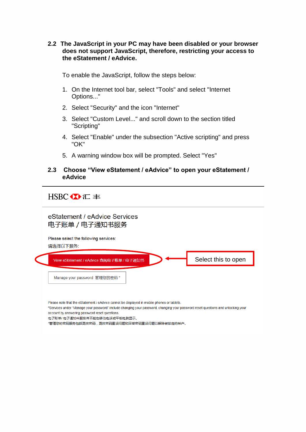**2.2 The JavaScript in your PC may have been disabled or your browser does not support JavaScript, therefore, restricting your access to the eStatement / eAdvice.**

To enable the JavaScript, follow the steps below:

- 1. On the Internet tool bar, select "Tools" and select "Internet Options..."
- 2. Select "Security" and the icon "Internet"
- 3. Select "Custom Level..." and scroll down to the section titled "Scripting"
- 4. Select "Enable" under the subsection "Active scripting" and press "OK"
- 5. A warning window box will be prompted. Select "Yes"

#### **2.3 Choose "View eStatement / eAdvice" to open your eStatement / eAdvice**

 $HSBC$   $\bullet$   $E \equiv$ 

eStatement / eAdvice Services 电子账单 / 电子通知书服务

Please select the following services:

请选择以下服务:



Please note that the eStatement / eAdvice cannot be displayed in mobile phones or tablets.

\*Services under "Manage your password" include changing your password, changing your password reset questions and unlocking your account by answering password reset questions.

电子账单/电子通知书服务并不能在移动电话或平板电脑显示。

\*管理您的密码服务包括更改密码,更改密码重设问题和回答密码重设问题以解除被锁定的帐户。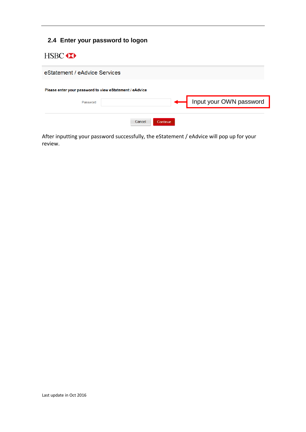## **2.4 Enter your password to logon**

## HSBC **XX**



After inputting your password successfully, the eStatement / eAdvice will pop up for your review.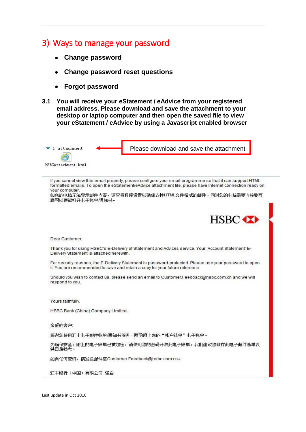## <span id="page-8-0"></span>3) Ways to manage your password

- **Change password**
- **Change password reset questions**
- **Forgot password**
- **3.1 You will receive your eStatement / eAdvice from your registered email address. Please download and save the attachment to your desktop or laptop computer and then open the saved file to view your eStatement / eAdvice by using a Javascript enabled browser**



If you cannot view this email properly, please configure your email programme so that it can support HTML formatted emails. To open the eStatement/eAdvice attachment file, please have Internet connection ready on vour computer.

如您的电脑无法显示邮件内容,请查看程序设置以确保支持HTML文件格式的邮件。同时您的电脑需要连接到互 联网以便能打开电子帐单通知书。



Dear Customer,

Thank you for using HSBC's E-Delivery of Statement and Advices service. Your 'Account Statement' E-Delivery Statement is attached herewith.

For security reasons, the E-Delivery Statement is password-protected. Please use your password to open it. You are recommended to save and retain a copy for your future reference.

Should you wish to contact us, please send an email to Customer.Feedback@hsbc.com.cn and we will respond to you.

Yours faithfully.

HSBC Bank (China) Company Limited.

亲爱的客户:

感谢您使用汇丰电子邮件帐单/通知书服务。随函附上您的"帐户结单"电子账单。

为确保安全,附上的电子账单已被加密,请使用您的密码开启此电子账单。我们建议您储存此电子邮件账单以 供日后参考。

如有任何查询,请发送邮件至Customer.Feedback@hsbc.com.cn。

汇丰银行 (中国) 有限公司 谨启

Last update in Oct 2016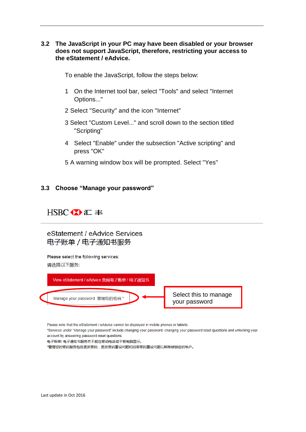#### **3.2 The JavaScript in your PC may have been disabled or your browser does not support JavaScript, therefore, restricting your access to the eStatement / eAdvice.**

To enable the JavaScript, follow the steps below:

- 1 On the Internet tool bar, select "Tools" and select "Internet Options..."
- 2 Select "Security" and the icon "Internet"
- 3 Select "Custom Level..." and scroll down to the section titled "Scripting"
- 4 Select "Enable" under the subsection "Active scripting" and press "OK"
- 5 A warning window box will be prompted. Select "Yes"

#### **3.3 Choose "Manage your password"**

## $HSPC$   $\bullet$   $E \equiv$

eStatement / eAdvice Services 电子账单 / 电子通知书服务

Please select the following services: 请选择以下服务:



Please note that the eStatement / eAdvice cannot be displayed in mobile phones or tablets.

\*Services under "Manage your password" include changing your password, changing your password reset questions and unlocking your account by answering password reset questions.

电子账单/电子通知书服务并不能在移动电话或平板电脑显示。

\*管理您的密码服务包括更改密码,更改密码重设问题和回答密码重设问题以解除被锁定的帐户。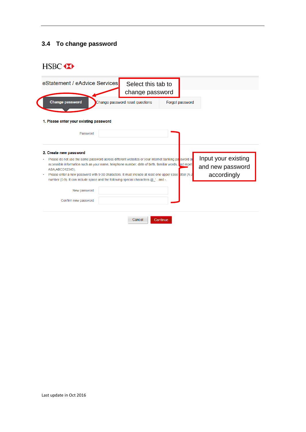## **3.4 To change password**

# HSBC **XX**

| eStatement / eAdvice Services                                                                                                                                                                                                                   | Select this tab to<br>change password |                 |            |                                         |
|-------------------------------------------------------------------------------------------------------------------------------------------------------------------------------------------------------------------------------------------------|---------------------------------------|-----------------|------------|-----------------------------------------|
| <b>Change password</b>                                                                                                                                                                                                                          | Change password reset questions       | Forgot password |            |                                         |
| 1. Please enter your existing password                                                                                                                                                                                                          |                                       |                 |            |                                         |
| Password                                                                                                                                                                                                                                        |                                       |                 |            |                                         |
| 2. Create new password<br>Please do not use the same password across different websites or your internet banking password and<br>accessible information such as your name, telephone number, date of birth, familiar words,<br>ABA, ABCD12345). |                                       |                 | ind repeti | Input your existing<br>and new password |
| Please enter a new password with 9-30 characters. It must include at least one upper case etter (A-Z<br>number (0-9). It can include space and the following special characters $@$ '. and -.                                                   |                                       |                 |            | accordingly                             |
| New password                                                                                                                                                                                                                                    |                                       |                 |            |                                         |
|                                                                                                                                                                                                                                                 |                                       |                 |            |                                         |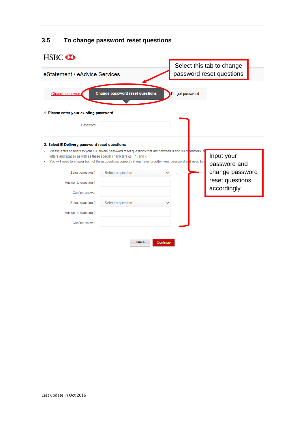| HSBC <b>XX</b>                                                          |                                        |                                                                                                                                                                                                                         |                                                       |
|-------------------------------------------------------------------------|----------------------------------------|-------------------------------------------------------------------------------------------------------------------------------------------------------------------------------------------------------------------------|-------------------------------------------------------|
| eStatement / eAdvice Services                                           |                                        |                                                                                                                                                                                                                         | Select this tab to change<br>password reset questions |
| Change password                                                         | <b>Change password reset questions</b> | Forgot password                                                                                                                                                                                                         |                                                       |
| 1. Please enter your existing password                                  |                                        |                                                                                                                                                                                                                         |                                                       |
| Password                                                                |                                        |                                                                                                                                                                                                                         |                                                       |
| 2. Select E-Delivery password reset questions                           |                                        |                                                                                                                                                                                                                         |                                                       |
| letters and spaces as well as these special characters $@$ $@$ . and -. |                                        | Please enter answers to your E-Delivery password reset questions that are between 3 and 30 characters. A<br>You will need to answer both of these questions correctly if you have forgotten your password ard need to r | Input your<br>password and                            |
| Select question 1                                                       | - Select a question -                  |                                                                                                                                                                                                                         | change password                                       |
| Answer to question 1                                                    |                                        |                                                                                                                                                                                                                         | reset questions                                       |
| Confirm answer                                                          |                                        |                                                                                                                                                                                                                         | accordingly                                           |
| Select question 2                                                       | - Select a question -                  |                                                                                                                                                                                                                         |                                                       |
| Answer to question 2                                                    |                                        |                                                                                                                                                                                                                         |                                                       |
| Confirm answer                                                          |                                        |                                                                                                                                                                                                                         |                                                       |
|                                                                         |                                        |                                                                                                                                                                                                                         |                                                       |
|                                                                         | Cancel                                 | Continue                                                                                                                                                                                                                |                                                       |

# **3.5 To change password reset questions**